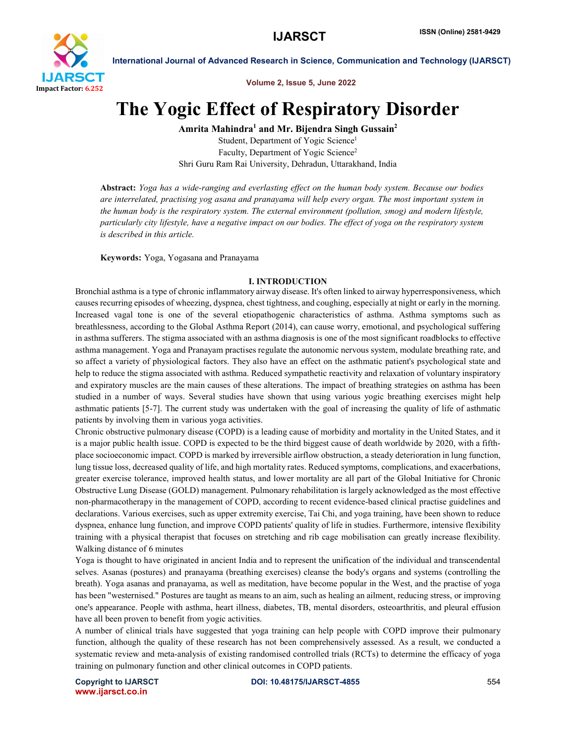

Volume 2, Issue 5, June 2022

# The Yogic Effect of Respiratory Disorder

Amrita Mahindra<sup>1</sup> and Mr. Bijendra Singh Gussain<sup>2</sup>

Student, Department of Yogic Science<sup>1</sup> Faculty, Department of Yogic Science<sup>2</sup> Shri Guru Ram Rai University, Dehradun, Uttarakhand, India

Abstract: *Yoga has a wide-ranging and everlasting effect on the human body system. Because our bodies are interrelated, practising yog asana and pranayama will help every organ. The most important system in the human body is the respiratory system. The external environment (pollution, smog) and modern lifestyle, particularly city lifestyle, have a negative impact on our bodies. The effect of yoga on the respiratory system is described in this article.*

Keywords: Yoga, Yogasana and Pranayama

# I. INTRODUCTION

Bronchial asthma is a type of chronic inflammatory airway disease. It's often linked to airway hyperresponsiveness, which causes recurring episodes of wheezing, dyspnea, chest tightness, and coughing, especially at night or early in the morning. Increased vagal tone is one of the several etiopathogenic characteristics of asthma. Asthma symptoms such as breathlessness, according to the Global Asthma Report (2014), can cause worry, emotional, and psychological suffering in asthma sufferers. The stigma associated with an asthma diagnosis is one of the most significant roadblocks to effective asthma management. Yoga and Pranayam practises regulate the autonomic nervous system, modulate breathing rate, and so affect a variety of physiological factors. They also have an effect on the asthmatic patient's psychological state and help to reduce the stigma associated with asthma. Reduced sympathetic reactivity and relaxation of voluntary inspiratory and expiratory muscles are the main causes of these alterations. The impact of breathing strategies on asthma has been studied in a number of ways. Several studies have shown that using various yogic breathing exercises might help asthmatic patients [5-7]. The current study was undertaken with the goal of increasing the quality of life of asthmatic patients by involving them in various yoga activities.

Chronic obstructive pulmonary disease (COPD) is a leading cause of morbidity and mortality in the United States, and it is a major public health issue. COPD is expected to be the third biggest cause of death worldwide by 2020, with a fifthplace socioeconomic impact. COPD is marked by irreversible airflow obstruction, a steady deterioration in lung function, lung tissue loss, decreased quality of life, and high mortality rates. Reduced symptoms, complications, and exacerbations, greater exercise tolerance, improved health status, and lower mortality are all part of the Global Initiative for Chronic Obstructive Lung Disease (GOLD) management. Pulmonary rehabilitation is largely acknowledged as the most effective non-pharmacotherapy in the management of COPD, according to recent evidence-based clinical practise guidelines and declarations. Various exercises, such as upper extremity exercise, Tai Chi, and yoga training, have been shown to reduce dyspnea, enhance lung function, and improve COPD patients' quality of life in studies. Furthermore, intensive flexibility training with a physical therapist that focuses on stretching and rib cage mobilisation can greatly increase flexibility. Walking distance of 6 minutes

Yoga is thought to have originated in ancient India and to represent the unification of the individual and transcendental selves. Asanas (postures) and pranayama (breathing exercises) cleanse the body's organs and systems (controlling the breath). Yoga asanas and pranayama, as well as meditation, have become popular in the West, and the practise of yoga has been "westernised." Postures are taught as means to an aim, such as healing an ailment, reducing stress, or improving one's appearance. People with asthma, heart illness, diabetes, TB, mental disorders, osteoarthritis, and pleural effusion have all been proven to benefit from yogic activities.

A number of clinical trials have suggested that yoga training can help people with COPD improve their pulmonary function, although the quality of these research has not been comprehensively assessed. As a result, we conducted a systematic review and meta-analysis of existing randomised controlled trials (RCTs) to determine the efficacy of yoga training on pulmonary function and other clinical outcomes in COPD patients.

www.ijarsct.co.in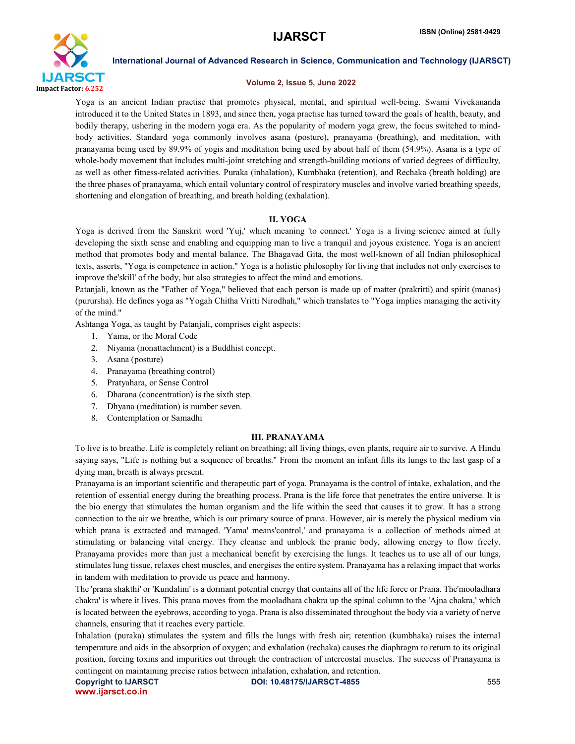

# Volume 2, Issue 5, June 2022

Yoga is an ancient Indian practise that promotes physical, mental, and spiritual well-being. Swami Vivekananda introduced it to the United States in 1893, and since then, yoga practise has turned toward the goals of health, beauty, and bodily therapy, ushering in the modern yoga era. As the popularity of modern yoga grew, the focus switched to mindbody activities. Standard yoga commonly involves asana (posture), pranayama (breathing), and meditation, with pranayama being used by 89.9% of yogis and meditation being used by about half of them (54.9%). Asana is a type of whole-body movement that includes multi-joint stretching and strength-building motions of varied degrees of difficulty, as well as other fitness-related activities. Puraka (inhalation), Kumbhaka (retention), and Rechaka (breath holding) are the three phases of pranayama, which entail voluntary control of respiratory muscles and involve varied breathing speeds, shortening and elongation of breathing, and breath holding (exhalation).

# II. YOGA

Yoga is derived from the Sanskrit word 'Yuj,' which meaning 'to connect.' Yoga is a living science aimed at fully developing the sixth sense and enabling and equipping man to live a tranquil and joyous existence. Yoga is an ancient method that promotes body and mental balance. The Bhagavad Gita, the most well-known of all Indian philosophical texts, asserts, "Yoga is competence in action." Yoga is a holistic philosophy for living that includes not only exercises to improve the'skill' of the body, but also strategies to affect the mind and emotions.

Patanjali, known as the "Father of Yoga," believed that each person is made up of matter (prakritti) and spirit (manas) (purursha). He defines yoga as "Yogah Chitha Vritti Nirodhah," which translates to "Yoga implies managing the activity of the mind."

Ashtanga Yoga, as taught by Patanjali, comprises eight aspects:

- 1. Yama, or the Moral Code
- 2. Niyama (nonattachment) is a Buddhist concept.
- 3. Asana (posture)
- 4. Pranayama (breathing control)
- 5. Pratyahara, or Sense Control
- 6. Dharana (concentration) is the sixth step.
- 7. Dhyana (meditation) is number seven.
- 8. Contemplation or Samadhi

# III. PRANAYAMA

To live is to breathe. Life is completely reliant on breathing; all living things, even plants, require air to survive. A Hindu saying says, "Life is nothing but a sequence of breaths." From the moment an infant fills its lungs to the last gasp of a dying man, breath is always present.

Pranayama is an important scientific and therapeutic part of yoga. Pranayama is the control of intake, exhalation, and the retention of essential energy during the breathing process. Prana is the life force that penetrates the entire universe. It is the bio energy that stimulates the human organism and the life within the seed that causes it to grow. It has a strong connection to the air we breathe, which is our primary source of prana. However, air is merely the physical medium via which prana is extracted and managed. 'Yama' means'control,' and pranayama is a collection of methods aimed at stimulating or balancing vital energy. They cleanse and unblock the pranic body, allowing energy to flow freely. Pranayama provides more than just a mechanical benefit by exercising the lungs. It teaches us to use all of our lungs, stimulates lung tissue, relaxes chest muscles, and energises the entire system. Pranayama has a relaxing impact that works in tandem with meditation to provide us peace and harmony.

The 'prana shakthi' or 'Kundalini' is a dormant potential energy that contains all of the life force or Prana. The'mooladhara chakra' is where it lives. This prana moves from the mooladhara chakra up the spinal column to the 'Ajna chakra,' which is located between the eyebrows, according to yoga. Prana is also disseminated throughout the body via a variety of nerve channels, ensuring that it reaches every particle.

Inhalation (puraka) stimulates the system and fills the lungs with fresh air; retention (kumbhaka) raises the internal temperature and aids in the absorption of oxygen; and exhalation (rechaka) causes the diaphragm to return to its original position, forcing toxins and impurities out through the contraction of intercostal muscles. The success of Pranayama is contingent on maintaining precise ratios between inhalation, exhalation, and retention.

www.ijarsct.co.in

Copyright to IJARSCT **Example 2012 10.48175/IJARSCT-4855** 555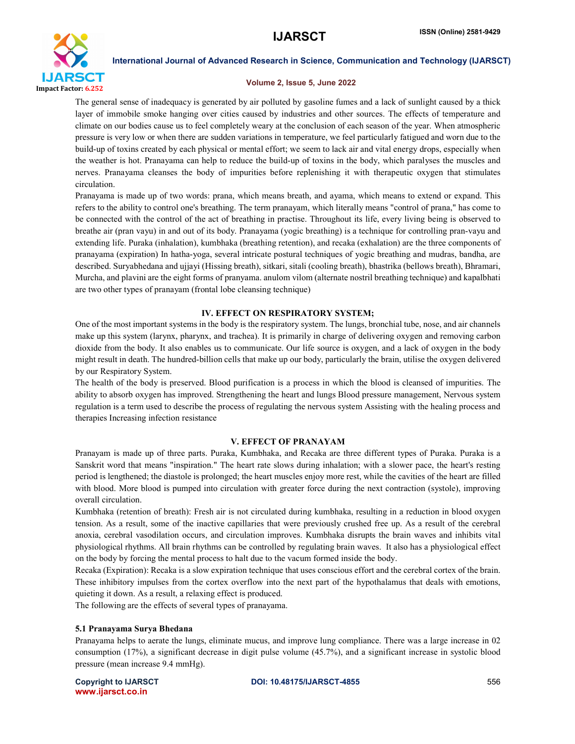

# Volume 2, Issue 5, June 2022

The general sense of inadequacy is generated by air polluted by gasoline fumes and a lack of sunlight caused by a thick layer of immobile smoke hanging over cities caused by industries and other sources. The effects of temperature and climate on our bodies cause us to feel completely weary at the conclusion of each season of the year. When atmospheric pressure is very low or when there are sudden variations in temperature, we feel particularly fatigued and worn due to the build-up of toxins created by each physical or mental effort; we seem to lack air and vital energy drops, especially when the weather is hot. Pranayama can help to reduce the build-up of toxins in the body, which paralyses the muscles and nerves. Pranayama cleanses the body of impurities before replenishing it with therapeutic oxygen that stimulates circulation.

Pranayama is made up of two words: prana, which means breath, and ayama, which means to extend or expand. This refers to the ability to control one's breathing. The term pranayam, which literally means "control of prana," has come to be connected with the control of the act of breathing in practise. Throughout its life, every living being is observed to breathe air (pran vayu) in and out of its body. Pranayama (yogic breathing) is a technique for controlling pran-vayu and extending life. Puraka (inhalation), kumbhaka (breathing retention), and recaka (exhalation) are the three components of pranayama (expiration) In hatha-yoga, several intricate postural techniques of yogic breathing and mudras, bandha, are described. Suryabhedana and ujjayi (Hissing breath), sitkari, sitali (cooling breath), bhastrika (bellows breath), Bhramari, Murcha, and plavini are the eight forms of pranyama. anulom vilom (alternate nostril breathing technique) and kapalbhati are two other types of pranayam (frontal lobe cleansing technique)

# IV. EFFECT ON RESPIRATORY SYSTEM;

One of the most important systems in the body is the respiratory system. The lungs, bronchial tube, nose, and air channels make up this system (larynx, pharynx, and trachea). It is primarily in charge of delivering oxygen and removing carbon dioxide from the body. It also enables us to communicate. Our life source is oxygen, and a lack of oxygen in the body might result in death. The hundred-billion cells that make up our body, particularly the brain, utilise the oxygen delivered by our Respiratory System.

The health of the body is preserved. Blood purification is a process in which the blood is cleansed of impurities. The ability to absorb oxygen has improved. Strengthening the heart and lungs Blood pressure management, Nervous system regulation is a term used to describe the process of regulating the nervous system Assisting with the healing process and therapies Increasing infection resistance

# V. EFFECT OF PRANAYAM

Pranayam is made up of three parts. Puraka, Kumbhaka, and Recaka are three different types of Puraka. Puraka is a Sanskrit word that means "inspiration." The heart rate slows during inhalation; with a slower pace, the heart's resting period is lengthened; the diastole is prolonged; the heart muscles enjoy more rest, while the cavities of the heart are filled with blood. More blood is pumped into circulation with greater force during the next contraction (systole), improving overall circulation.

Kumbhaka (retention of breath): Fresh air is not circulated during kumbhaka, resulting in a reduction in blood oxygen tension. As a result, some of the inactive capillaries that were previously crushed free up. As a result of the cerebral anoxia, cerebral vasodilation occurs, and circulation improves. Kumbhaka disrupts the brain waves and inhibits vital physiological rhythms. All brain rhythms can be controlled by regulating brain waves. It also has a physiological effect on the body by forcing the mental process to halt due to the vacum formed inside the body.

Recaka (Expiration): Recaka is a slow expiration technique that uses conscious effort and the cerebral cortex of the brain. These inhibitory impulses from the cortex overflow into the next part of the hypothalamus that deals with emotions, quieting it down. As a result, a relaxing effect is produced.

The following are the effects of several types of pranayama.

# 5.1 Pranayama Surya Bhedana

Pranayama helps to aerate the lungs, eliminate mucus, and improve lung compliance. There was a large increase in 02 consumption (17%), a significant decrease in digit pulse volume (45.7%), and a significant increase in systolic blood pressure (mean increase 9.4 mmHg).